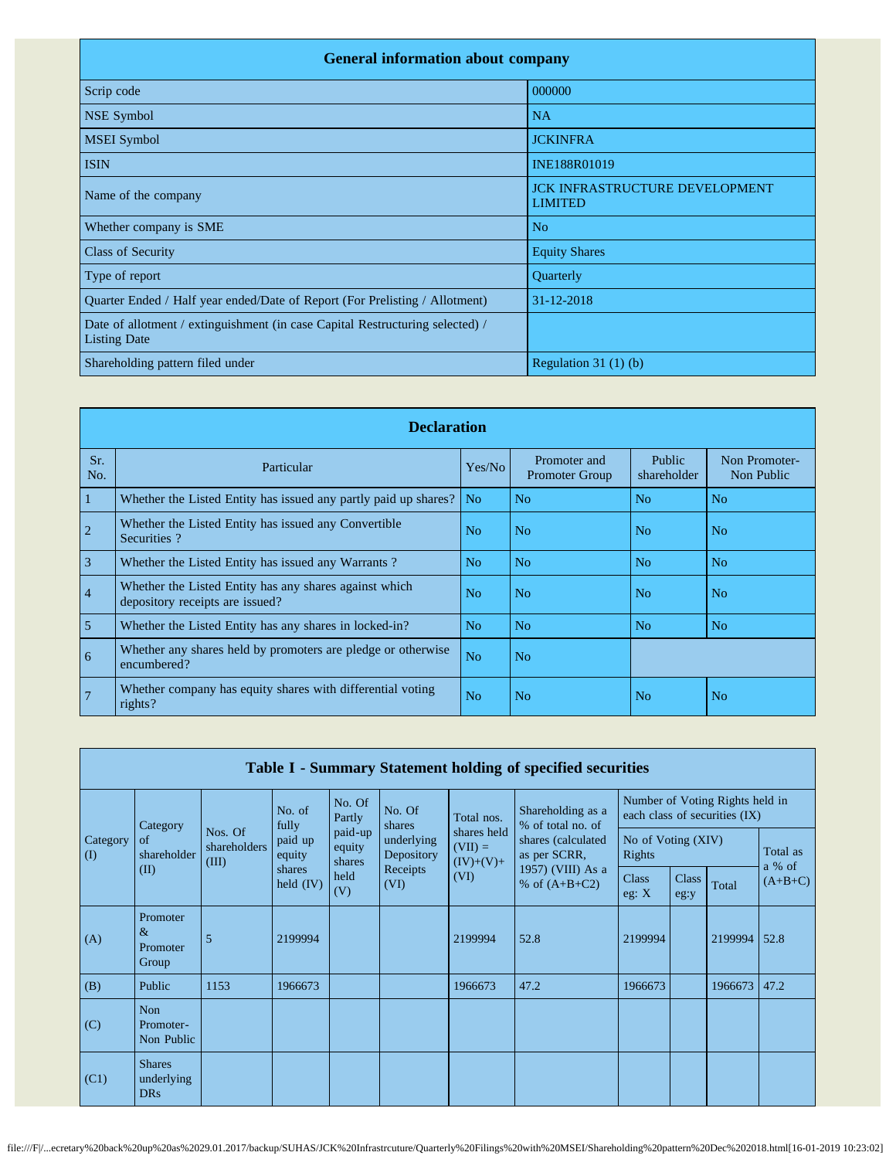| <b>General information about company</b>                                                             |                                                         |  |  |  |  |  |  |
|------------------------------------------------------------------------------------------------------|---------------------------------------------------------|--|--|--|--|--|--|
| Scrip code                                                                                           | 000000                                                  |  |  |  |  |  |  |
| NSE Symbol                                                                                           | <b>NA</b>                                               |  |  |  |  |  |  |
| <b>MSEI</b> Symbol                                                                                   | <b>JCKINFRA</b>                                         |  |  |  |  |  |  |
| <b>ISIN</b>                                                                                          | INE188R01019                                            |  |  |  |  |  |  |
| Name of the company                                                                                  | <b>JCK INFRASTRUCTURE DEVELOPMENT</b><br><b>LIMITED</b> |  |  |  |  |  |  |
| Whether company is SME                                                                               | No                                                      |  |  |  |  |  |  |
| <b>Class of Security</b>                                                                             | <b>Equity Shares</b>                                    |  |  |  |  |  |  |
| Type of report                                                                                       | Quarterly                                               |  |  |  |  |  |  |
| Quarter Ended / Half year ended/Date of Report (For Prelisting / Allotment)                          | 31-12-2018                                              |  |  |  |  |  |  |
| Date of allotment / extinguishment (in case Capital Restructuring selected) /<br><b>Listing Date</b> |                                                         |  |  |  |  |  |  |
| Shareholding pattern filed under                                                                     | Regulation $31(1)(b)$                                   |  |  |  |  |  |  |

|                 | <b>Declaration</b>                                                                        |                |                                       |                       |                             |  |  |  |  |  |
|-----------------|-------------------------------------------------------------------------------------------|----------------|---------------------------------------|-----------------------|-----------------------------|--|--|--|--|--|
| Sr.<br>No.      | Particular                                                                                | Yes/No         | Promoter and<br><b>Promoter Group</b> | Public<br>shareholder | Non Promoter-<br>Non Public |  |  |  |  |  |
| $\vert$ 1       | Whether the Listed Entity has issued any partly paid up shares?                           | N <sub>0</sub> | No                                    | No                    | No                          |  |  |  |  |  |
| $\overline{2}$  | Whether the Listed Entity has issued any Convertible<br>Securities?                       | No             | N <sub>o</sub>                        | N <sub>o</sub>        | No                          |  |  |  |  |  |
| $\overline{3}$  | Whether the Listed Entity has issued any Warrants?                                        | N <sub>o</sub> | N <sub>o</sub>                        | N <sub>o</sub>        | N <sub>o</sub>              |  |  |  |  |  |
| $\vert 4$       | Whether the Listed Entity has any shares against which<br>depository receipts are issued? | No             | N <sub>0</sub>                        | N <sub>o</sub>        | No                          |  |  |  |  |  |
| $\overline{5}$  | Whether the Listed Entity has any shares in locked-in?                                    | No             | N <sub>o</sub>                        | N <sub>o</sub>        | N <sub>o</sub>              |  |  |  |  |  |
| $6\overline{6}$ | Whether any shares held by promoters are pledge or otherwise<br>encumbered?               | N <sub>o</sub> | N <sub>o</sub>                        |                       |                             |  |  |  |  |  |
| $\overline{7}$  | Whether company has equity shares with differential voting<br>rights?                     | No             | N <sub>o</sub>                        | N <sub>o</sub>        | No                          |  |  |  |  |  |

|                 | Table I - Summary Statement holding of specified securities |                                  |                                            |                             |                                                                          |                                                 |                                                                            |                              |                      |         |                    |
|-----------------|-------------------------------------------------------------|----------------------------------|--------------------------------------------|-----------------------------|--------------------------------------------------------------------------|-------------------------------------------------|----------------------------------------------------------------------------|------------------------------|----------------------|---------|--------------------|
|                 | Category                                                    |                                  | No. of<br>fully                            | No. Of<br>Partly            | No. Of<br>Shareholding as a<br>Total nos.<br>% of total no. of<br>shares |                                                 | Number of Voting Rights held in<br>each class of securities (IX)           |                              |                      |         |                    |
| Category<br>(I) | of<br>shareholder                                           | Nos. Of<br>shareholders<br>(III) | paid up<br>equity<br>shares<br>held $(IV)$ | paid-up<br>equity<br>shares | underlying<br>Depository<br>Receipts<br>(VI)                             | shares held<br>$(VII) =$<br>$(IV)+(V)+$<br>(VI) | shares (calculated<br>as per SCRR,<br>1957) (VIII) As a<br>% of $(A+B+C2)$ | No of Voting (XIV)<br>Rights |                      |         | Total as<br>a % of |
|                 | (II)                                                        |                                  |                                            | held<br>(V)                 |                                                                          |                                                 |                                                                            | Class<br>eg: $X$             | <b>Class</b><br>eg:y | Total   | $(A+B+C)$          |
| (A)             | Promoter<br>$\&$<br>Promoter<br>Group                       | 5                                | 2199994                                    |                             |                                                                          | 2199994                                         | 52.8                                                                       | 2199994                      |                      | 2199994 | 52.8               |
| (B)             | Public                                                      | 1153                             | 1966673                                    |                             |                                                                          | 1966673                                         | 47.2                                                                       | 1966673                      |                      | 1966673 | 47.2               |
| (C)             | Non<br>Promoter-<br>Non Public                              |                                  |                                            |                             |                                                                          |                                                 |                                                                            |                              |                      |         |                    |
| (C1)            | <b>Shares</b><br>underlying<br><b>DRs</b>                   |                                  |                                            |                             |                                                                          |                                                 |                                                                            |                              |                      |         |                    |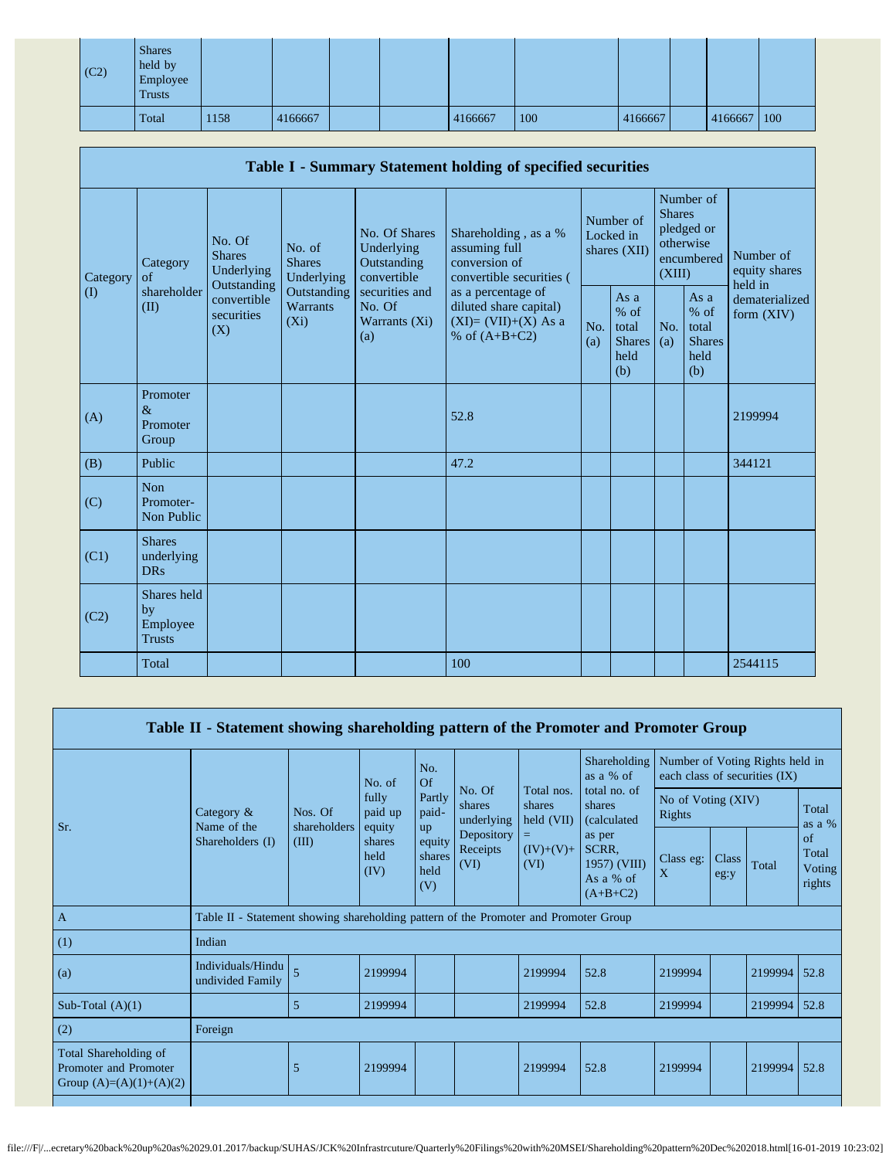| $\vert$ (C2) | <b>Shares</b><br>held by<br>Employee<br><b>Trusts</b> |      |         |  |         |     |         |         |     |
|--------------|-------------------------------------------------------|------|---------|--|---------|-----|---------|---------|-----|
|              | Total                                                 | 1158 | 4166667 |  | 4166667 | 100 | 4166667 | 4166667 | 100 |

|          | Table I - Summary Statement holding of specified securities |                                                      |                                       |                                                                                                                                              |                                                                                    |                                                         |                                        |                                                         |                                                    |                                       |
|----------|-------------------------------------------------------------|------------------------------------------------------|---------------------------------------|----------------------------------------------------------------------------------------------------------------------------------------------|------------------------------------------------------------------------------------|---------------------------------------------------------|----------------------------------------|---------------------------------------------------------|----------------------------------------------------|---------------------------------------|
| Category | Category<br>of                                              | No. Of<br><b>Shares</b><br>Underlying<br>Outstanding | No. of<br><b>Shares</b><br>Underlying | No. Of Shares<br>Underlying<br>Outstanding<br>convertible                                                                                    | Shareholding, as a %<br>assuming full<br>conversion of<br>convertible securities ( |                                                         | Number of<br>Locked in<br>shares (XII) | <b>Shares</b><br>(XIII)                                 | Number of<br>pledged or<br>otherwise<br>encumbered | Number of<br>equity shares<br>held in |
| $\rm(D)$ | shareholder<br>(II)                                         | convertible<br>securities<br>(X)                     | Outstanding<br>Warrants<br>$(X_i)$    | securities and<br>as a percentage of<br>No. Of<br>diluted share capital)<br>$(XI)=(VII)+(X)$ As a<br>Warrants (Xi)<br>% of $(A+B+C2)$<br>(a) | No.<br>(a)                                                                         | As a<br>$%$ of<br>total<br><b>Shares</b><br>held<br>(b) | No.<br>(a)                             | As a<br>$%$ of<br>total<br><b>Shares</b><br>held<br>(b) | dematerialized<br>form (XIV)                       |                                       |
| (A)      | Promoter<br>$\&$<br>Promoter<br>Group                       |                                                      |                                       |                                                                                                                                              | 52.8                                                                               |                                                         |                                        |                                                         |                                                    | 2199994                               |
| (B)      | Public                                                      |                                                      |                                       |                                                                                                                                              | 47.2                                                                               |                                                         |                                        |                                                         |                                                    | 344121                                |
| (C)      | Non<br>Promoter-<br>Non Public                              |                                                      |                                       |                                                                                                                                              |                                                                                    |                                                         |                                        |                                                         |                                                    |                                       |
| (C1)     | <b>Shares</b><br>underlying<br><b>DRs</b>                   |                                                      |                                       |                                                                                                                                              |                                                                                    |                                                         |                                        |                                                         |                                                    |                                       |
| (C2)     | Shares held<br>by<br>Employee<br><b>Trusts</b>              |                                                      |                                       |                                                                                                                                              |                                                                                    |                                                         |                                        |                                                         |                                                    |                                       |
|          | Total                                                       |                                                      |                                       |                                                                                                                                              | 100                                                                                |                                                         |                                        |                                                         |                                                    | 2544115                               |

|                                                                             | Table II - Statement showing shareholding pattern of the Promoter and Promoter Group |                                  |                                                                |                                              |                                                        |                                                           |                                                                                                                                     |                                                                  |               |         |                                 |
|-----------------------------------------------------------------------------|--------------------------------------------------------------------------------------|----------------------------------|----------------------------------------------------------------|----------------------------------------------|--------------------------------------------------------|-----------------------------------------------------------|-------------------------------------------------------------------------------------------------------------------------------------|------------------------------------------------------------------|---------------|---------|---------------------------------|
|                                                                             |                                                                                      | Nos. Of<br>shareholders<br>(III) | No. of<br>fully<br>paid up<br>equity<br>shares<br>held<br>(IV) | No.<br>Of<br>No. Of<br>Partly<br>paid-<br>up |                                                        | Total nos.<br>shares<br>held (VII)<br>$(IV)+(V)+$<br>(VI) | Shareholding<br>as $a \%$ of<br>total no. of<br>shares<br>(calculated<br>as per<br>SCRR,<br>1957) (VIII)<br>As a % of<br>$(A+B+C2)$ | Number of Voting Rights held in<br>each class of securities (IX) |               |         |                                 |
| Sr.                                                                         | Category $\&$<br>Name of the                                                         |                                  |                                                                |                                              | shares<br>underlying<br>Depository<br>Receipts<br>(VI) |                                                           |                                                                                                                                     | No of Voting (XIV)<br>Rights                                     |               |         | Total<br>as a $%$               |
|                                                                             | Shareholders (I)                                                                     |                                  |                                                                | equity<br>shares<br>held<br>(V)              |                                                        |                                                           |                                                                                                                                     | Class eg:<br>$\mathbf{X}$                                        | Class<br>eg:y | Total   | of<br>Total<br>Voting<br>rights |
| $\mathbf{A}$                                                                | Table II - Statement showing shareholding pattern of the Promoter and Promoter Group |                                  |                                                                |                                              |                                                        |                                                           |                                                                                                                                     |                                                                  |               |         |                                 |
| (1)                                                                         | Indian                                                                               |                                  |                                                                |                                              |                                                        |                                                           |                                                                                                                                     |                                                                  |               |         |                                 |
| (a)                                                                         | Individuals/Hindu<br>undivided Family                                                | $\overline{5}$                   | 2199994                                                        |                                              |                                                        | 2199994                                                   | 52.8                                                                                                                                | 2199994                                                          |               | 2199994 | 52.8                            |
| Sub-Total $(A)(1)$                                                          |                                                                                      | 5                                | 2199994                                                        |                                              |                                                        | 2199994                                                   | 52.8                                                                                                                                | 2199994                                                          |               | 2199994 | 52.8                            |
| (2)                                                                         | Foreign                                                                              |                                  |                                                                |                                              |                                                        |                                                           |                                                                                                                                     |                                                                  |               |         |                                 |
| Total Shareholding of<br>Promoter and Promoter<br>Group $(A)=(A)(1)+(A)(2)$ |                                                                                      | 5                                | 2199994                                                        |                                              |                                                        | 2199994                                                   | 52.8                                                                                                                                | 2199994                                                          |               | 2199994 | 52.8                            |
|                                                                             |                                                                                      |                                  |                                                                |                                              |                                                        |                                                           |                                                                                                                                     |                                                                  |               |         |                                 |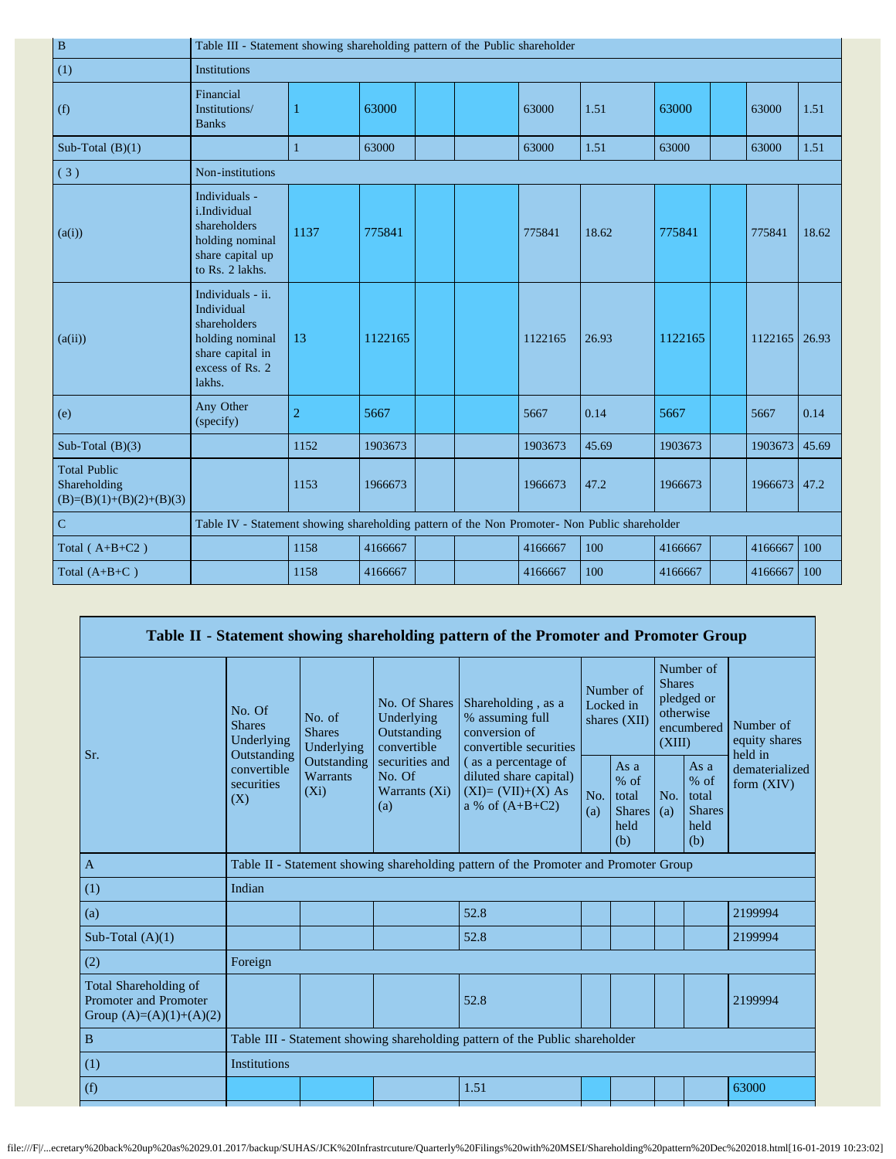| $\, {\bf B}$                                                      | Table III - Statement showing shareholding pattern of the Public shareholder                                        |                |         |  |  |         |       |         |  |         |       |
|-------------------------------------------------------------------|---------------------------------------------------------------------------------------------------------------------|----------------|---------|--|--|---------|-------|---------|--|---------|-------|
| (1)                                                               | <b>Institutions</b>                                                                                                 |                |         |  |  |         |       |         |  |         |       |
| (f)                                                               | Financial<br>Institutions/<br><b>Banks</b>                                                                          |                | 63000   |  |  | 63000   | 1.51  | 63000   |  | 63000   | 1.51  |
| Sub-Total $(B)(1)$                                                |                                                                                                                     | $\mathbf{1}$   | 63000   |  |  | 63000   | 1.51  | 63000   |  | 63000   | 1.51  |
| (3)                                                               | Non-institutions                                                                                                    |                |         |  |  |         |       |         |  |         |       |
| (a(i))                                                            | Individuals -<br>i.Individual<br>shareholders<br>holding nominal<br>share capital up<br>to Rs. 2 lakhs.             | 1137           | 775841  |  |  | 775841  | 18.62 | 775841  |  | 775841  | 18.62 |
| (a(ii))                                                           | Individuals - ii.<br>Individual<br>shareholders<br>holding nominal<br>share capital in<br>excess of Rs. 2<br>lakhs. | 13             | 1122165 |  |  | 1122165 | 26.93 | 1122165 |  | 1122165 | 26.93 |
| (e)                                                               | Any Other<br>(specify)                                                                                              | $\overline{2}$ | 5667    |  |  | 5667    | 0.14  | 5667    |  | 5667    | 0.14  |
| Sub-Total $(B)(3)$                                                |                                                                                                                     | 1152           | 1903673 |  |  | 1903673 | 45.69 | 1903673 |  | 1903673 | 45.69 |
| <b>Total Public</b><br>Shareholding<br>$(B)=(B)(1)+(B)(2)+(B)(3)$ |                                                                                                                     | 1153           | 1966673 |  |  | 1966673 | 47.2  | 1966673 |  | 1966673 | 147.2 |
| $\mathbf C$                                                       | Table IV - Statement showing shareholding pattern of the Non Promoter- Non Public shareholder                       |                |         |  |  |         |       |         |  |         |       |
| Total $(A+B+C2)$                                                  |                                                                                                                     | 1158           | 4166667 |  |  | 4166667 | 100   | 4166667 |  | 4166667 | 100   |
| Total $(A+B+C)$                                                   |                                                                                                                     | 1158           | 4166667 |  |  | 4166667 | 100   | 4166667 |  | 4166667 | 100   |

|                                                                             |                                                                                                     |                                       |                                                           | Table II - Statement showing shareholding pattern of the Promoter and Promoter Group      |            |                                                         |                                                                               |                                                         |                                       |
|-----------------------------------------------------------------------------|-----------------------------------------------------------------------------------------------------|---------------------------------------|-----------------------------------------------------------|-------------------------------------------------------------------------------------------|------------|---------------------------------------------------------|-------------------------------------------------------------------------------|---------------------------------------------------------|---------------------------------------|
| Sr.                                                                         | No. Of<br><b>Shares</b><br>Underlying<br>Outstanding<br>convertible<br>securities<br>$(X_i)$<br>(X) | No. of<br><b>Shares</b><br>Underlying | No. Of Shares<br>Underlying<br>Outstanding<br>convertible | Shareholding, as a<br>% assuming full<br>conversion of<br>convertible securities          |            | Number of<br>Locked in<br>shares (XII)                  | Number of<br><b>Shares</b><br>pledged or<br>otherwise<br>encumbered<br>(XIII) |                                                         | Number of<br>equity shares<br>held in |
|                                                                             |                                                                                                     | Outstanding<br><b>Warrants</b>        | securities and<br>No. Of<br>Warrants (Xi)<br>(a)          | (as a percentage of<br>diluted share capital)<br>$(XI)=(VII)+(X) As$<br>a % of $(A+B+C2)$ | No.<br>(a) | As a<br>$%$ of<br>total<br><b>Shares</b><br>held<br>(b) | No.<br>(a)                                                                    | As a<br>$%$ of<br>total<br><b>Shares</b><br>held<br>(b) | dematerialized<br>form $(XIV)$        |
| $\mathbf{A}$                                                                |                                                                                                     |                                       |                                                           | Table II - Statement showing shareholding pattern of the Promoter and Promoter Group      |            |                                                         |                                                                               |                                                         |                                       |
| (1)                                                                         | Indian                                                                                              |                                       |                                                           |                                                                                           |            |                                                         |                                                                               |                                                         |                                       |
| (a)                                                                         |                                                                                                     |                                       |                                                           | 52.8                                                                                      |            |                                                         |                                                                               |                                                         | 2199994                               |
| Sub-Total $(A)(1)$                                                          |                                                                                                     |                                       |                                                           | 52.8                                                                                      |            |                                                         |                                                                               |                                                         | 2199994                               |
| (2)                                                                         | Foreign                                                                                             |                                       |                                                           |                                                                                           |            |                                                         |                                                                               |                                                         |                                       |
| Total Shareholding of<br>Promoter and Promoter<br>Group $(A)=(A)(1)+(A)(2)$ |                                                                                                     |                                       |                                                           | 52.8                                                                                      |            |                                                         |                                                                               |                                                         | 2199994                               |
| $\, {\bf B}$                                                                | Table III - Statement showing shareholding pattern of the Public shareholder                        |                                       |                                                           |                                                                                           |            |                                                         |                                                                               |                                                         |                                       |
| (1)                                                                         | <b>Institutions</b>                                                                                 |                                       |                                                           |                                                                                           |            |                                                         |                                                                               |                                                         |                                       |
| (f)                                                                         |                                                                                                     |                                       |                                                           | 1.51                                                                                      |            |                                                         |                                                                               |                                                         | 63000                                 |
|                                                                             |                                                                                                     |                                       |                                                           |                                                                                           |            |                                                         |                                                                               |                                                         |                                       |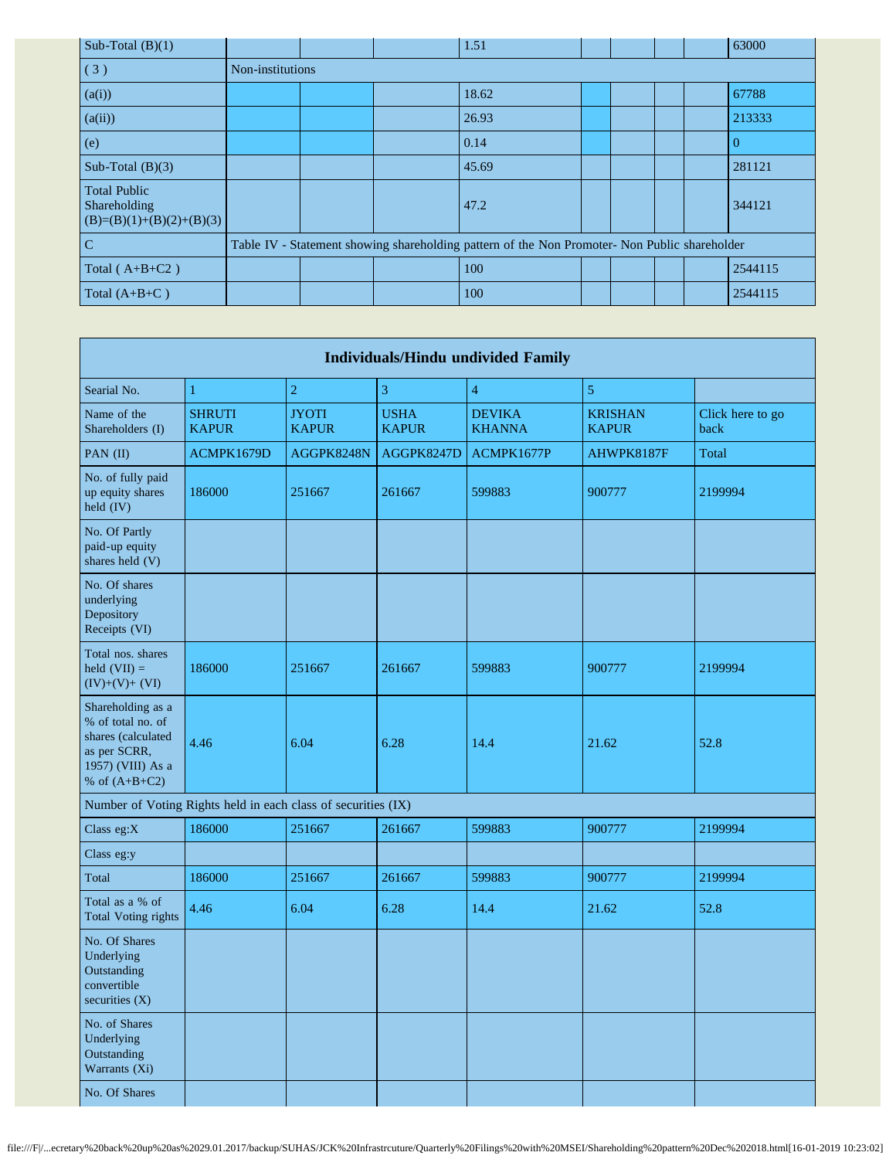| Sub-Total $(B)(1)$                                                |                                                                                               |  | 1.51  |  |  |  |  | 63000    |
|-------------------------------------------------------------------|-----------------------------------------------------------------------------------------------|--|-------|--|--|--|--|----------|
| (3)                                                               | Non-institutions                                                                              |  |       |  |  |  |  |          |
| (a(i))                                                            |                                                                                               |  | 18.62 |  |  |  |  | 67788    |
| (a(ii))                                                           |                                                                                               |  | 26.93 |  |  |  |  | 213333   |
| (e)                                                               |                                                                                               |  | 0.14  |  |  |  |  | $\Omega$ |
| Sub-Total $(B)(3)$                                                |                                                                                               |  | 45.69 |  |  |  |  | 281121   |
| <b>Total Public</b><br>Shareholding<br>$(B)=(B)(1)+(B)(2)+(B)(3)$ |                                                                                               |  | 47.2  |  |  |  |  | 344121   |
| $\overline{C}$                                                    | Table IV - Statement showing shareholding pattern of the Non Promoter- Non Public shareholder |  |       |  |  |  |  |          |
| Total $(A+B+C2)$                                                  |                                                                                               |  | 100   |  |  |  |  | 2544115  |
| Total $(A+B+C)$                                                   |                                                                                               |  | 100   |  |  |  |  | 2544115  |

| <b>Individuals/Hindu undivided Family</b>                                                                            |                                                               |                              |                             |                                |                                |                          |  |  |
|----------------------------------------------------------------------------------------------------------------------|---------------------------------------------------------------|------------------------------|-----------------------------|--------------------------------|--------------------------------|--------------------------|--|--|
| Searial No.                                                                                                          | $\mathbf{1}$                                                  | $\sqrt{2}$                   | 3                           | $\overline{4}$                 | $\overline{5}$                 |                          |  |  |
| Name of the<br>Shareholders (I)                                                                                      | <b>SHRUTI</b><br><b>KAPUR</b>                                 | <b>JYOTI</b><br><b>KAPUR</b> | <b>USHA</b><br><b>KAPUR</b> | <b>DEVIKA</b><br><b>KHANNA</b> | <b>KRISHAN</b><br><b>KAPUR</b> | Click here to go<br>back |  |  |
| PAN (II)                                                                                                             | ACMPK1679D                                                    | AGGPK8248N                   | AGGPK8247D                  | ACMPK1677P                     | AHWPK8187F                     | Total                    |  |  |
| No. of fully paid<br>up equity shares<br>held (IV)                                                                   | 186000                                                        | 251667                       | 261667                      | 599883                         | 900777                         | 2199994                  |  |  |
| No. Of Partly<br>paid-up equity<br>shares held (V)                                                                   |                                                               |                              |                             |                                |                                |                          |  |  |
| No. Of shares<br>underlying<br>Depository<br>Receipts (VI)                                                           |                                                               |                              |                             |                                |                                |                          |  |  |
| Total nos. shares<br>held $(VII) =$<br>$(IV)+(V)+(VI)$                                                               | 186000                                                        | 251667                       | 261667                      | 599883                         | 900777                         | 2199994                  |  |  |
| Shareholding as a<br>% of total no. of<br>shares (calculated<br>as per SCRR,<br>1957) (VIII) As a<br>% of $(A+B+C2)$ | 4.46                                                          | 6.04                         | 6.28                        | 14.4                           | 21.62                          | 52.8                     |  |  |
|                                                                                                                      | Number of Voting Rights held in each class of securities (IX) |                              |                             |                                |                                |                          |  |  |
| Class eg:X                                                                                                           | 186000                                                        | 251667                       | 261667                      | 599883                         | 900777                         | 2199994                  |  |  |
| Class eg:y                                                                                                           |                                                               |                              |                             |                                |                                |                          |  |  |
| Total                                                                                                                | 186000                                                        | 251667                       | 261667                      | 599883                         | 900777                         | 2199994                  |  |  |
| Total as a % of<br><b>Total Voting rights</b>                                                                        | 4.46                                                          | 6.04                         | 6.28                        | 14.4                           | 21.62                          | 52.8                     |  |  |
| No. Of Shares<br>Underlying<br>Outstanding<br>convertible<br>securities $(X)$                                        |                                                               |                              |                             |                                |                                |                          |  |  |
| No. of Shares<br>Underlying<br>Outstanding<br>Warrants (Xi)                                                          |                                                               |                              |                             |                                |                                |                          |  |  |
| No. Of Shares                                                                                                        |                                                               |                              |                             |                                |                                |                          |  |  |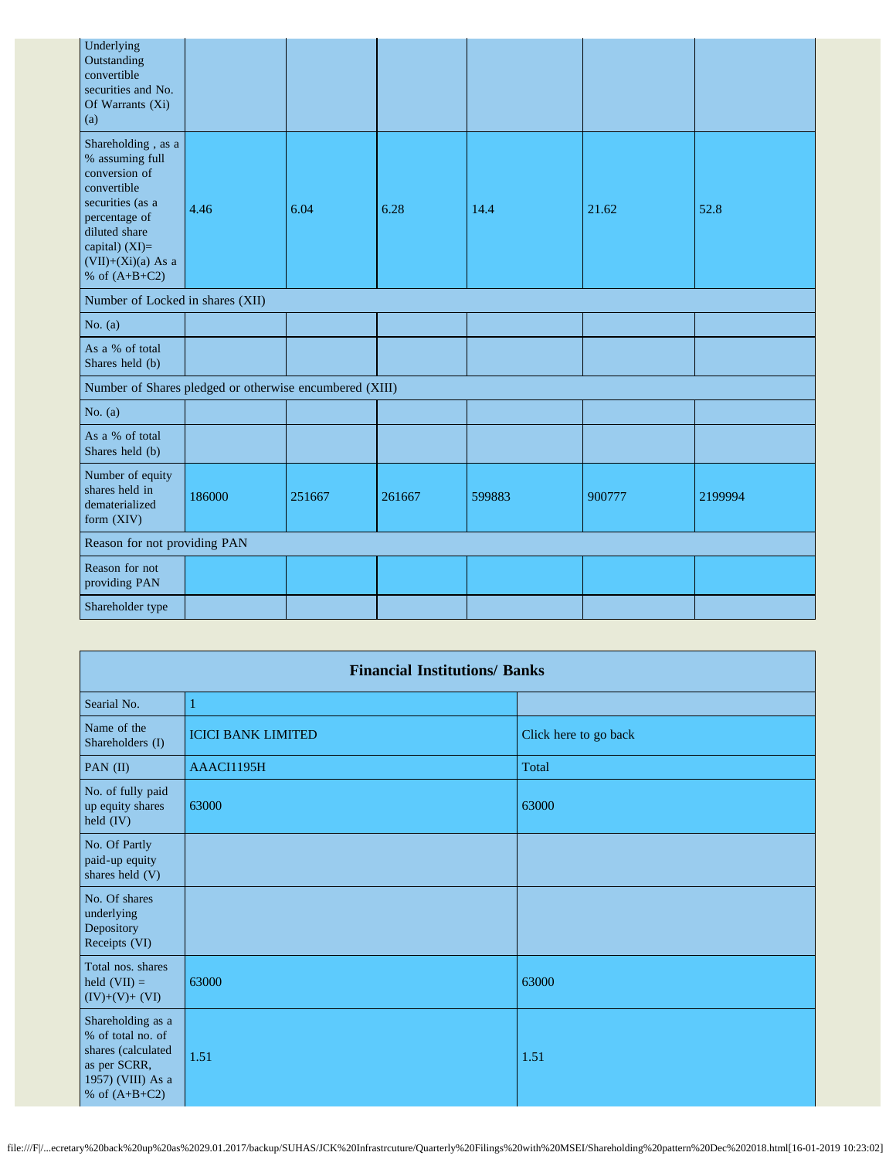| Underlying<br>Outstanding<br>convertible<br>securities and No.<br>Of Warrants (Xi)<br>(a)                                                                                                  |        |        |        |        |        |         |
|--------------------------------------------------------------------------------------------------------------------------------------------------------------------------------------------|--------|--------|--------|--------|--------|---------|
| Shareholding, as a<br>% assuming full<br>conversion of<br>convertible<br>securities (as a<br>percentage of<br>diluted share<br>capital) $(XI)=$<br>$(VII)+(Xi)(a)$ As a<br>% of $(A+B+C2)$ | 4.46   | 6.04   | 6.28   | 14.4   | 21.62  | 52.8    |
| Number of Locked in shares (XII)                                                                                                                                                           |        |        |        |        |        |         |
| No. $(a)$                                                                                                                                                                                  |        |        |        |        |        |         |
| As a % of total<br>Shares held (b)                                                                                                                                                         |        |        |        |        |        |         |
| Number of Shares pledged or otherwise encumbered (XIII)                                                                                                                                    |        |        |        |        |        |         |
| No. $(a)$                                                                                                                                                                                  |        |        |        |        |        |         |
| As a % of total<br>Shares held (b)                                                                                                                                                         |        |        |        |        |        |         |
| Number of equity<br>shares held in<br>dematerialized<br>form (XIV)                                                                                                                         | 186000 | 251667 | 261667 | 599883 | 900777 | 2199994 |
| Reason for not providing PAN                                                                                                                                                               |        |        |        |        |        |         |
| Reason for not<br>providing PAN                                                                                                                                                            |        |        |        |        |        |         |
| Shareholder type                                                                                                                                                                           |        |        |        |        |        |         |

|                                                                                                                      | <b>Financial Institutions/ Banks</b> |                       |  |  |  |  |  |  |  |
|----------------------------------------------------------------------------------------------------------------------|--------------------------------------|-----------------------|--|--|--|--|--|--|--|
| Searial No.                                                                                                          | ı                                    |                       |  |  |  |  |  |  |  |
| Name of the<br>Shareholders (I)                                                                                      | <b>ICICI BANK LIMITED</b>            | Click here to go back |  |  |  |  |  |  |  |
| PAN $(II)$                                                                                                           | AAACI1195H                           | Total                 |  |  |  |  |  |  |  |
| No. of fully paid<br>up equity shares<br>held (IV)                                                                   | 63000                                | 63000                 |  |  |  |  |  |  |  |
| No. Of Partly<br>paid-up equity<br>shares held (V)                                                                   |                                      |                       |  |  |  |  |  |  |  |
| No. Of shares<br>underlying<br>Depository<br>Receipts (VI)                                                           |                                      |                       |  |  |  |  |  |  |  |
| Total nos. shares<br>held $(VII) =$<br>$(IV)+(V)+(VI)$                                                               | 63000                                | 63000                 |  |  |  |  |  |  |  |
| Shareholding as a<br>% of total no. of<br>shares (calculated<br>as per SCRR,<br>1957) (VIII) As a<br>% of $(A+B+C2)$ | 1.51                                 | 1.51                  |  |  |  |  |  |  |  |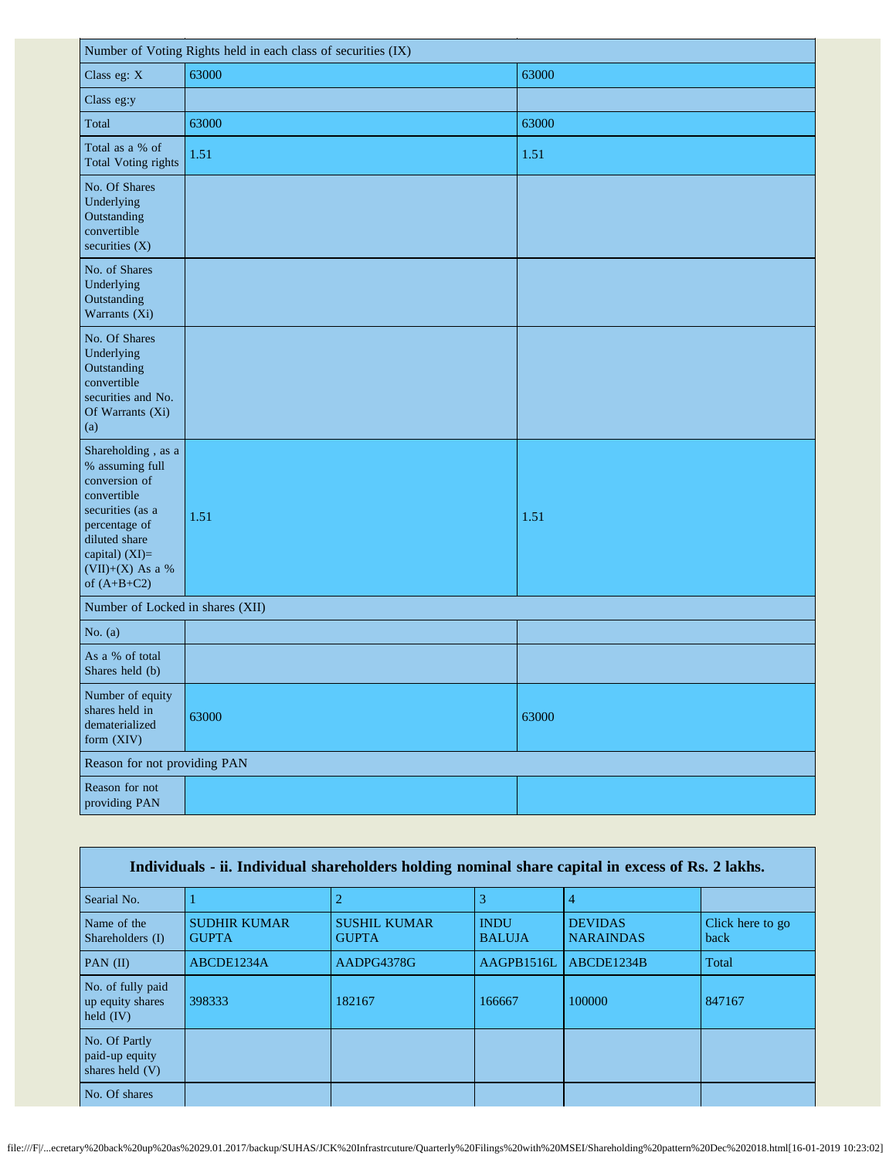| Number of Voting Rights held in each class of securities (IX)                                                                                                                      |       |       |  |
|------------------------------------------------------------------------------------------------------------------------------------------------------------------------------------|-------|-------|--|
| Class eg: X                                                                                                                                                                        | 63000 | 63000 |  |
| Class eg:y                                                                                                                                                                         |       |       |  |
| Total                                                                                                                                                                              | 63000 | 63000 |  |
| Total as a % of<br><b>Total Voting rights</b>                                                                                                                                      | 1.51  | 1.51  |  |
| No. Of Shares<br>Underlying<br>Outstanding<br>convertible<br>securities (X)                                                                                                        |       |       |  |
| No. of Shares<br>Underlying<br>Outstanding<br>Warrants (Xi)                                                                                                                        |       |       |  |
| No. Of Shares<br>Underlying<br>Outstanding<br>convertible<br>securities and No.<br>Of Warrants (Xi)<br>(a)                                                                         |       |       |  |
| Shareholding, as a<br>% assuming full<br>conversion of<br>convertible<br>securities (as a<br>percentage of<br>diluted share<br>capital) (XI)=<br>(VII)+(X) As a %<br>of $(A+B+C2)$ | 1.51  | 1.51  |  |
| Number of Locked in shares (XII)                                                                                                                                                   |       |       |  |
| No. $(a)$                                                                                                                                                                          |       |       |  |
| As a % of total<br>Shares held (b)                                                                                                                                                 |       |       |  |
| Number of equity<br>shares held in<br>dematerialized<br>form (XIV)                                                                                                                 | 63000 | 63000 |  |
| Reason for not providing PAN                                                                                                                                                       |       |       |  |
| Reason for not<br>providing PAN                                                                                                                                                    |       |       |  |

| Individuals - ii. Individual shareholders holding nominal share capital in excess of Rs. 2 lakhs. |                                     |                                     |                              |                                    |                          |
|---------------------------------------------------------------------------------------------------|-------------------------------------|-------------------------------------|------------------------------|------------------------------------|--------------------------|
| Searial No.                                                                                       |                                     |                                     | 3                            | 4                                  |                          |
| Name of the<br>Shareholders (I)                                                                   | <b>SUDHIR KUMAR</b><br><b>GUPTA</b> | <b>SUSHIL KUMAR</b><br><b>GUPTA</b> | <b>INDU</b><br><b>BALUJA</b> | <b>DEVIDAS</b><br><b>NARAINDAS</b> | Click here to go<br>back |
| $PAN$ (II)                                                                                        | ABCDE1234A                          | AADPG4378G                          | AAGPB1516L                   | ABCDE1234B                         | Total                    |
| No. of fully paid<br>up equity shares<br>held $(IV)$                                              | 398333                              | 182167                              | 166667                       | 100000                             | 847167                   |
| No. Of Partly<br>paid-up equity<br>shares held (V)                                                |                                     |                                     |                              |                                    |                          |
| No. Of shares                                                                                     |                                     |                                     |                              |                                    |                          |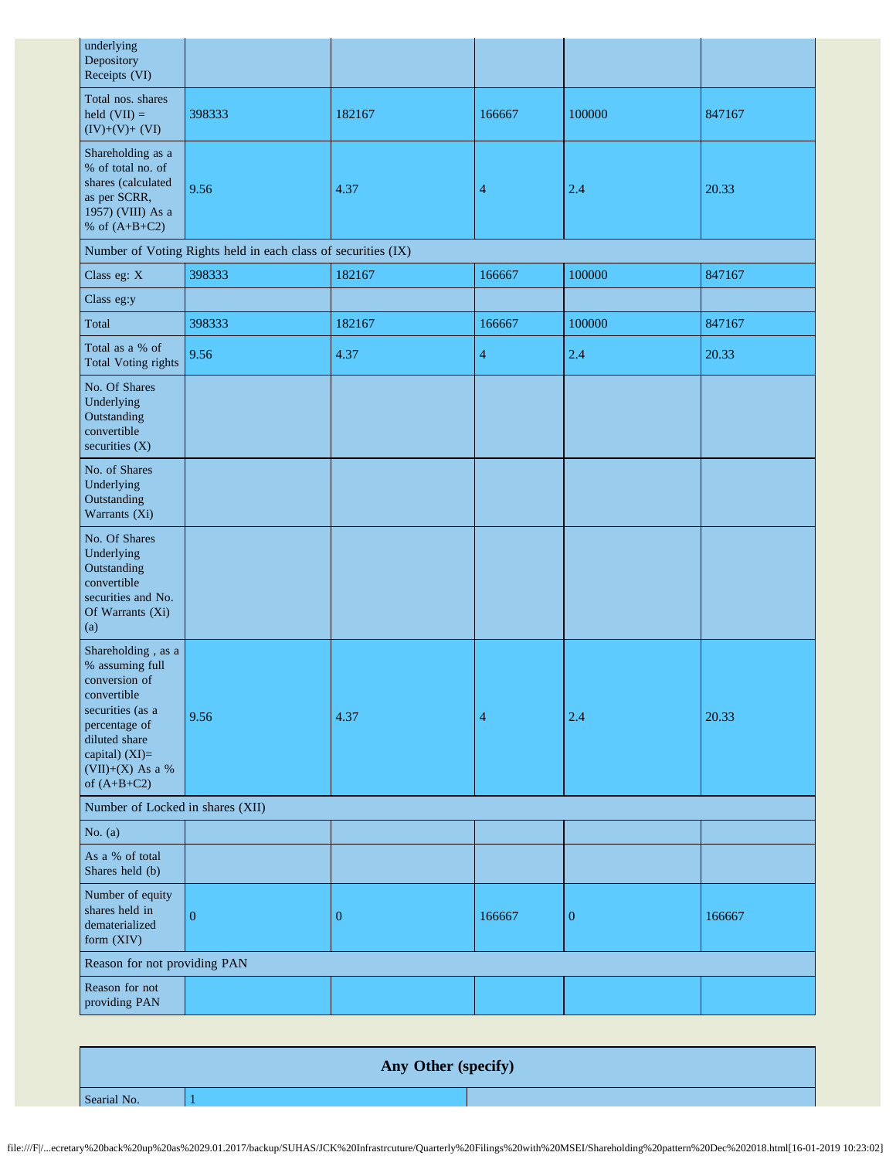| underlying<br>Depository<br>Receipts (VI)                                                                                                                                            |                                                               |              |        |                  |        |
|--------------------------------------------------------------------------------------------------------------------------------------------------------------------------------------|---------------------------------------------------------------|--------------|--------|------------------|--------|
| Total nos. shares<br>held $(VII) =$<br>$(IV)+(V)+(VI)$                                                                                                                               | 398333                                                        | 182167       | 166667 | 100000           | 847167 |
| Shareholding as a<br>% of total no. of<br>shares (calculated<br>as per SCRR,<br>1957) (VIII) As a<br>% of $(A+B+C2)$                                                                 | 9.56                                                          | 4.37         | 4      | 2.4              | 20.33  |
|                                                                                                                                                                                      | Number of Voting Rights held in each class of securities (IX) |              |        |                  |        |
| Class eg: X                                                                                                                                                                          | 398333                                                        | 182167       | 166667 | 100000           | 847167 |
| Class eg:y                                                                                                                                                                           |                                                               |              |        |                  |        |
| Total                                                                                                                                                                                | 398333                                                        | 182167       | 166667 | 100000           | 847167 |
| Total as a % of<br><b>Total Voting rights</b>                                                                                                                                        | 9.56                                                          | 4.37         | 4      | 2.4              | 20.33  |
| No. Of Shares<br>Underlying<br>Outstanding<br>convertible<br>securities (X)                                                                                                          |                                                               |              |        |                  |        |
| No. of Shares<br>Underlying<br>Outstanding<br>Warrants (Xi)                                                                                                                          |                                                               |              |        |                  |        |
| No. Of Shares<br>Underlying<br>Outstanding<br>convertible<br>securities and No.<br>Of Warrants (Xi)<br>(a)                                                                           |                                                               |              |        |                  |        |
| Shareholding, as a<br>% assuming full<br>conversion of<br>convertible<br>securities (as a<br>percentage of<br>diluted share<br>capital) (XI)=<br>$(VII)+(X)$ As a %<br>of $(A+B+C2)$ | 9.56                                                          | 4.37         | 4      | 2.4              | 20.33  |
| Number of Locked in shares (XII)                                                                                                                                                     |                                                               |              |        |                  |        |
| No. $(a)$                                                                                                                                                                            |                                                               |              |        |                  |        |
| As a % of total<br>Shares held (b)                                                                                                                                                   |                                                               |              |        |                  |        |
| Number of equity<br>shares held in<br>dematerialized<br>form (XIV)                                                                                                                   | $\overline{0}$                                                | $\mathbf{0}$ | 166667 | $\boldsymbol{0}$ | 166667 |
| Reason for not providing PAN                                                                                                                                                         |                                                               |              |        |                  |        |
| Reason for not<br>providing PAN                                                                                                                                                      |                                                               |              |        |                  |        |

**Any Other (specify)** Searial No. 1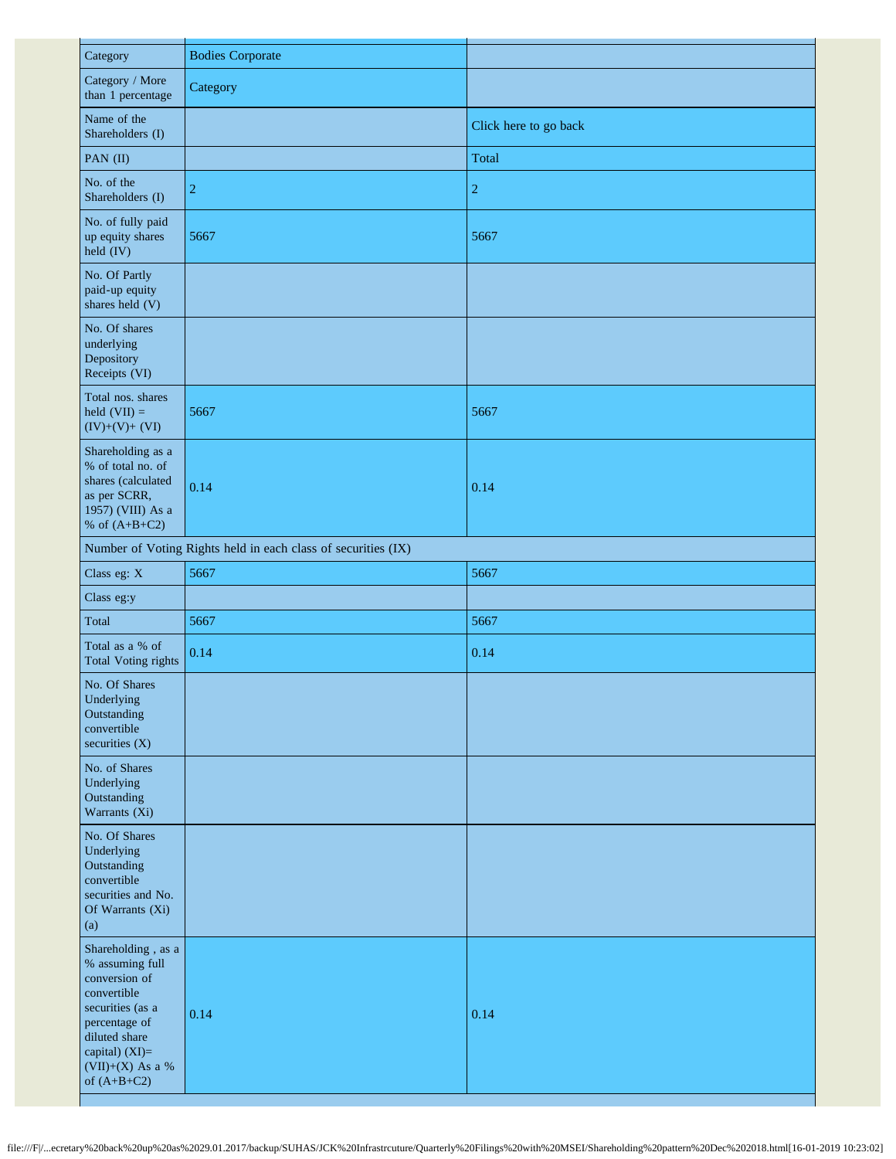| Category                                                                                                                                                                           | <b>Bodies Corporate</b>                                       |                       |
|------------------------------------------------------------------------------------------------------------------------------------------------------------------------------------|---------------------------------------------------------------|-----------------------|
| Category / More<br>than 1 percentage                                                                                                                                               | Category                                                      |                       |
| Name of the<br>Shareholders (I)                                                                                                                                                    |                                                               | Click here to go back |
| PAN (II)                                                                                                                                                                           |                                                               | Total                 |
| No. of the<br>Shareholders (I)                                                                                                                                                     | 2                                                             | $\sqrt{2}$            |
| No. of fully paid<br>up equity shares<br>held (IV)                                                                                                                                 | 5667                                                          | 5667                  |
| No. Of Partly<br>paid-up equity<br>shares held (V)                                                                                                                                 |                                                               |                       |
| No. Of shares<br>underlying<br>Depository<br>Receipts (VI)                                                                                                                         |                                                               |                       |
| Total nos. shares<br>held $(VII) =$<br>$(IV)+(V)+(VI)$                                                                                                                             | 5667                                                          | 5667                  |
| Shareholding as a<br>% of total no. of<br>shares (calculated<br>as per SCRR,<br>1957) (VIII) As a<br>% of $(A+B+C2)$                                                               | 0.14                                                          | 0.14                  |
|                                                                                                                                                                                    | Number of Voting Rights held in each class of securities (IX) |                       |
| Class eg: X                                                                                                                                                                        | 5667                                                          | 5667                  |
| Class eg:y                                                                                                                                                                         |                                                               |                       |
| Total                                                                                                                                                                              | 5667                                                          | 5667                  |
| Total as a % of<br><b>Total Voting rights</b>                                                                                                                                      | 0.14                                                          | 0.14                  |
| No. Of Shares<br>Underlying<br>Outstanding<br>convertible<br>securities $(X)$                                                                                                      |                                                               |                       |
| No. of Shares<br>Underlying<br>Outstanding<br>Warrants (Xi)                                                                                                                        |                                                               |                       |
| No. Of Shares<br>Underlying<br>Outstanding<br>convertible<br>securities and No.<br>Of Warrants (Xi)<br>(a)                                                                         |                                                               |                       |
| Shareholding, as a<br>% assuming full<br>conversion of<br>convertible<br>securities (as a<br>percentage of<br>diluted share<br>capital) (XI)=<br>(VII)+(X) As a %<br>of $(A+B+C2)$ | 0.14                                                          | 0.14                  |